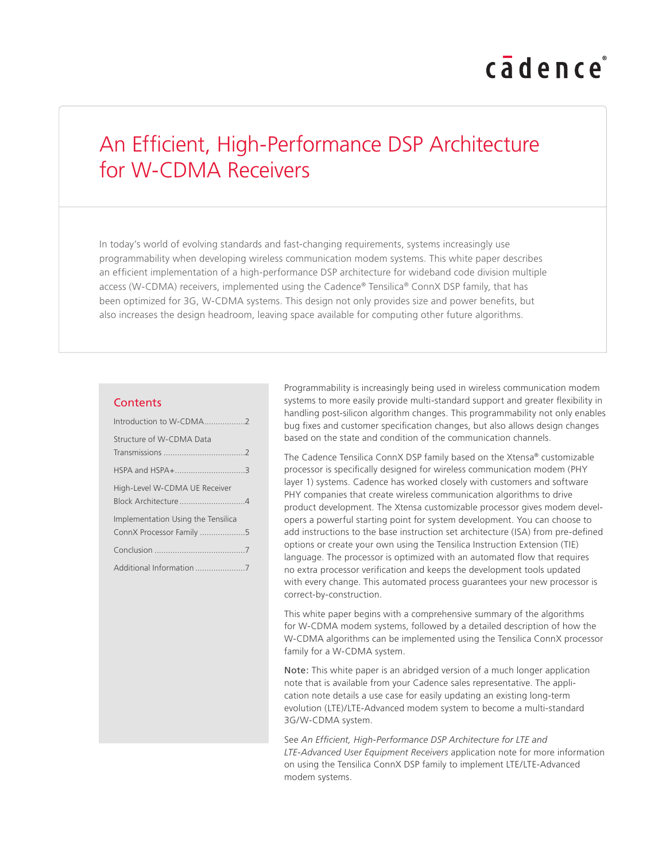# cadence

# An Efficient, High-Performance DSP Architecture for W-CDMA Receivers

In today's world of evolving standards and fast-changing requirements, systems increasingly use programmability when developing wireless communication modem systems. This white paper describes an efficient implementation of a high-performance DSP architecture for wideband code division multiple access (W-CDMA) receivers, implemented using the Cadence® Tensilica® ConnX DSP family, that has been optimized for 3G, W-CDMA systems. This design not only provides size and power benefits, but also increases the design headroom, leaving space available for computing other future algorithms.

#### **Contents**

| Introduction to W-CDMA2            |
|------------------------------------|
| Structure of W-CDMA Data           |
|                                    |
| HSPA and HSPA+3                    |
| High-Level W-CDMA UE Receiver      |
|                                    |
| Implementation Using the Tensilica |
| ConnX Processor Family 5           |
|                                    |
|                                    |

Programmability is increasingly being used in wireless communication modem systems to more easily provide multi-standard support and greater flexibility in handling post-silicon algorithm changes. This programmability not only enables bug fixes and customer specification changes, but also allows design changes based on the state and condition of the communication channels.

The Cadence Tensilica ConnX DSP family based on the Xtensa® customizable processor is specifically designed for wireless communication modem (PHY layer 1) systems. Cadence has worked closely with customers and software PHY companies that create wireless communication algorithms to drive product development. The Xtensa customizable processor gives modem developers a powerful starting point for system development. You can choose to add instructions to the base instruction set architecture (ISA) from pre-defined options or create your own using the Tensilica Instruction Extension (TIE) language. The processor is optimized with an automated flow that requires no extra processor verification and keeps the development tools updated with every change. This automated process guarantees your new processor is correct-by-construction.

This white paper begins with a comprehensive summary of the algorithms for W-CDMA modem systems, followed by a detailed description of how the W-CDMA algorithms can be implemented using the Tensilica ConnX processor family for a W-CDMA system.

Note: This white paper is an abridged version of a much longer application note that is available from your Cadence sales representative. The application note details a use case for easily updating an existing long-term evolution (LTE)/LTE-Advanced modem system to become a multi-standard 3G/W-CDMA system.

See *An Efficient, High-Performance DSP Architecture for LTE and LTE-Advanced User Equipment Receivers* application note for more information on using the Tensilica ConnX DSP family to implement LTE/LTE-Advanced modem systems.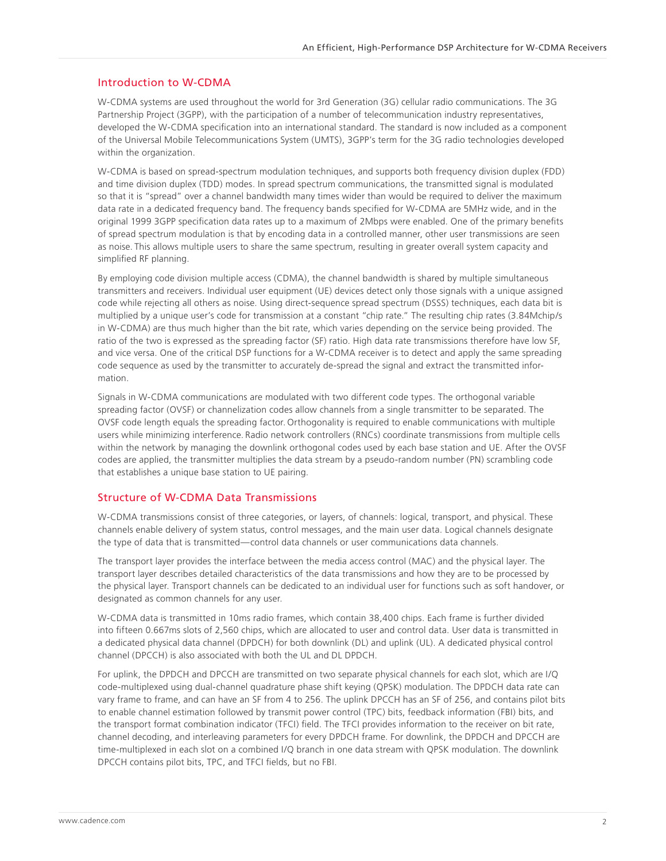#### <span id="page-1-0"></span>Introduction to W-CDMA

W-CDMA systems are used throughout the world for 3rd Generation (3G) cellular radio communications. The 3G Partnership Project (3GPP), with the participation of a number of telecommunication industry representatives, developed the W-CDMA specification into an international standard. The standard is now included as a component of the Universal Mobile Telecommunications System (UMTS), 3GPP's term for the 3G radio technologies developed within the organization.

W-CDMA is based on spread-spectrum modulation techniques, and supports both frequency division duplex (FDD) and time division duplex (TDD) modes. In spread spectrum communications, the transmitted signal is modulated so that it is "spread" over a channel bandwidth many times wider than would be required to deliver the maximum data rate in a dedicated frequency band. The frequency bands specified for W-CDMA are 5MHz wide, and in the original 1999 3GPP specification data rates up to a maximum of 2Mbps were enabled. One of the primary benefits of spread spectrum modulation is that by encoding data in a controlled manner, other user transmissions are seen as noise. This allows multiple users to share the same spectrum, resulting in greater overall system capacity and simplified RF planning.

By employing code division multiple access (CDMA), the channel bandwidth is shared by multiple simultaneous transmitters and receivers. Individual user equipment (UE) devices detect only those signals with a unique assigned code while rejecting all others as noise. Using direct-sequence spread spectrum (DSSS) techniques, each data bit is multiplied by a unique user's code for transmission at a constant "chip rate." The resulting chip rates (3.84Mchip/s in W-CDMA) are thus much higher than the bit rate, which varies depending on the service being provided. The ratio of the two is expressed as the spreading factor (SF) ratio. High data rate transmissions therefore have low SF, and vice versa. One of the critical DSP functions for a W-CDMA receiver is to detect and apply the same spreading code sequence as used by the transmitter to accurately de-spread the signal and extract the transmitted information.

Signals in W-CDMA communications are modulated with two different code types. The orthogonal variable spreading factor (OVSF) or channelization codes allow channels from a single transmitter to be separated. The OVSF code length equals the spreading factor. Orthogonality is required to enable communications with multiple users while minimizing interference. Radio network controllers (RNCs) coordinate transmissions from multiple cells within the network by managing the downlink orthogonal codes used by each base station and UE. After the OVSF codes are applied, the transmitter multiplies the data stream by a pseudo-random number (PN) scrambling code that establishes a unique base station to UE pairing.

#### Structure of W-CDMA Data Transmissions

W-CDMA transmissions consist of three categories, or layers, of channels: logical, transport, and physical. These channels enable delivery of system status, control messages, and the main user data. Logical channels designate the type of data that is transmitted—control data channels or user communications data channels.

The transport layer provides the interface between the media access control (MAC) and the physical layer. The transport layer describes detailed characteristics of the data transmissions and how they are to be processed by the physical layer. Transport channels can be dedicated to an individual user for functions such as soft handover, or designated as common channels for any user.

W-CDMA data is transmitted in 10ms radio frames, which contain 38,400 chips. Each frame is further divided into fifteen 0.667ms slots of 2,560 chips, which are allocated to user and control data. User data is transmitted in a dedicated physical data channel (DPDCH) for both downlink (DL) and uplink (UL). A dedicated physical control channel (DPCCH) is also associated with both the UL and DL DPDCH.

For uplink, the DPDCH and DPCCH are transmitted on two separate physical channels for each slot, which are I/Q code-multiplexed using dual-channel quadrature phase shift keying (QPSK) modulation. The DPDCH data rate can vary frame to frame, and can have an SF from 4 to 256. The uplink DPCCH has an SF of 256, and contains pilot bits to enable channel estimation followed by transmit power control (TPC) bits, feedback information (FBI) bits, and the transport format combination indicator (TFCI) field. The TFCI provides information to the receiver on bit rate, channel decoding, and interleaving parameters for every DPDCH frame. For downlink, the DPDCH and DPCCH are time-multiplexed in each slot on a combined I/Q branch in one data stream with QPSK modulation. The downlink DPCCH contains pilot bits, TPC, and TFCI fields, but no FBI.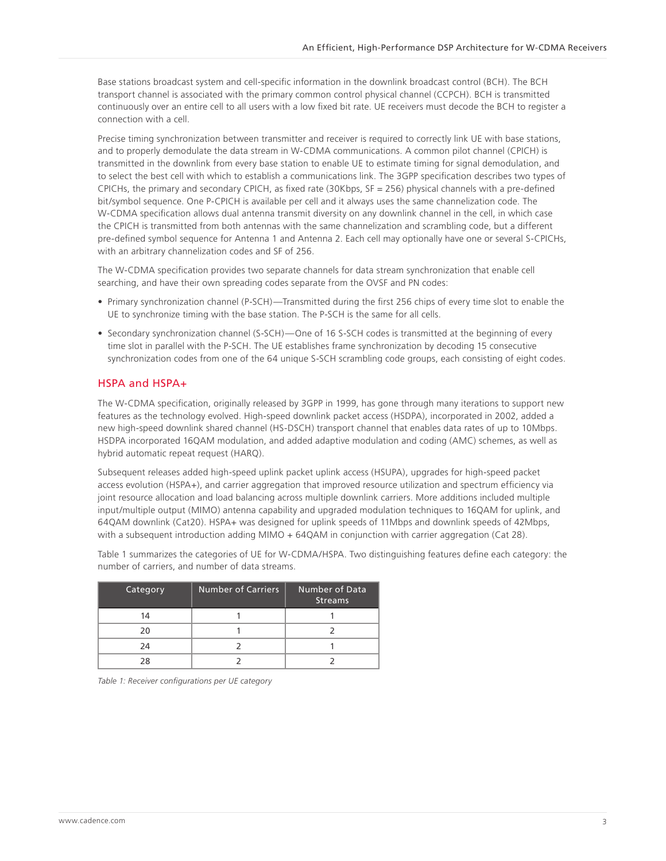<span id="page-2-0"></span>Base stations broadcast system and cell-specific information in the downlink broadcast control (BCH). The BCH transport channel is associated with the primary common control physical channel (CCPCH). BCH is transmitted continuously over an entire cell to all users with a low fixed bit rate. UE receivers must decode the BCH to register a connection with a cell.

Precise timing synchronization between transmitter and receiver is required to correctly link UE with base stations, and to properly demodulate the data stream in W-CDMA communications. A common pilot channel (CPICH) is transmitted in the downlink from every base station to enable UE to estimate timing for signal demodulation, and to select the best cell with which to establish a communications link. The 3GPP specification describes two types of CPICHs, the primary and secondary CPICH, as fixed rate (30Kbps, SF = 256) physical channels with a pre-defined bit/symbol sequence. One P-CPICH is available per cell and it always uses the same channelization code. The W-CDMA specification allows dual antenna transmit diversity on any downlink channel in the cell, in which case the CPICH is transmitted from both antennas with the same channelization and scrambling code, but a different pre-defined symbol sequence for Antenna 1 and Antenna 2. Each cell may optionally have one or several S-CPICHs, with an arbitrary channelization codes and SF of 256.

The W-CDMA specification provides two separate channels for data stream synchronization that enable cell searching, and have their own spreading codes separate from the OVSF and PN codes:

- Primary synchronization channel (P-SCH)—Transmitted during the first 256 chips of every time slot to enable the UE to synchronize timing with the base station. The P-SCH is the same for all cells.
- Secondary synchronization channel (S-SCH)—One of 16 S-SCH codes is transmitted at the beginning of every time slot in parallel with the P-SCH. The UE establishes frame synchronization by decoding 15 consecutive synchronization codes from one of the 64 unique S-SCH scrambling code groups, each consisting of eight codes.

#### HSPA and HSPA+

The W-CDMA specification, originally released by 3GPP in 1999, has gone through many iterations to support new features as the technology evolved. High-speed downlink packet access (HSDPA), incorporated in 2002, added a new high-speed downlink shared channel (HS-DSCH) transport channel that enables data rates of up to 10Mbps. HSDPA incorporated 16QAM modulation, and added adaptive modulation and coding (AMC) schemes, as well as hybrid automatic repeat request (HARQ).

Subsequent releases added high-speed uplink packet uplink access (HSUPA), upgrades for high-speed packet access evolution (HSPA+), and carrier aggregation that improved resource utilization and spectrum efficiency via joint resource allocation and load balancing across multiple downlink carriers. More additions included multiple input/multiple output (MIMO) antenna capability and upgraded modulation techniques to 16QAM for uplink, and 64QAM downlink (Cat20). HSPA+ was designed for uplink speeds of 11Mbps and downlink speeds of 42Mbps, with a subsequent introduction adding MIMO + 64QAM in conjunction with carrier aggregation (Cat 28).

Table 1 summarizes the categories of UE for W-CDMA/HSPA. Two distinguishing features define each category: the number of carriers, and number of data streams.

| <b>Category</b> | <b>Number of Carriers</b> | Number of Data<br><b>Streams</b> |
|-----------------|---------------------------|----------------------------------|
| 14              |                           |                                  |
| 20              |                           |                                  |
| 24              |                           |                                  |
| 28              |                           |                                  |

*Table 1: Receiver configurations per UE category*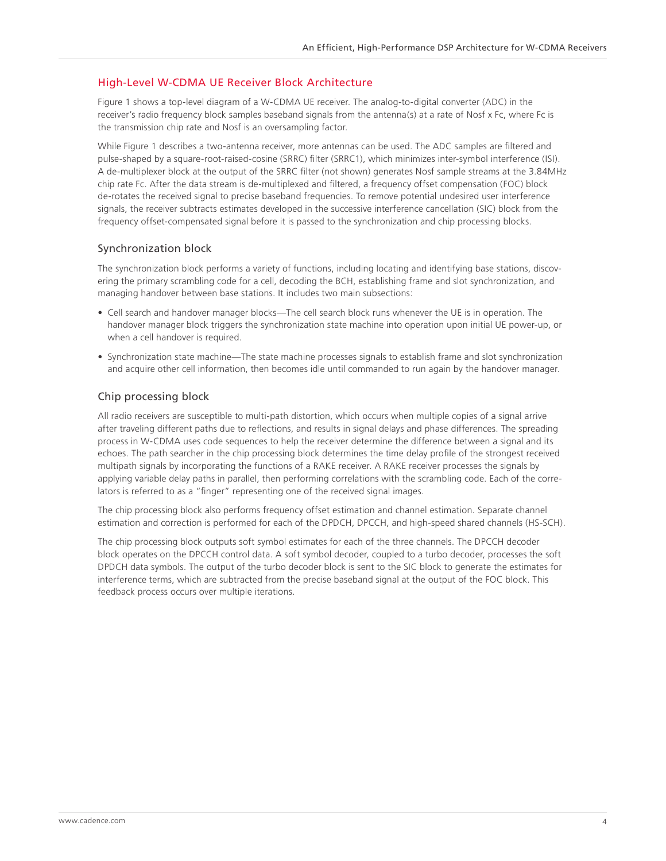#### <span id="page-3-0"></span>High-Level W-CDMA UE Receiver Block Architecture

Figure 1 shows a top-level diagram of a W-CDMA UE receiver. The analog-to-digital converter (ADC) in the receiver's radio frequency block samples baseband signals from the antenna(s) at a rate of Nosf x Fc, where Fc is the transmission chip rate and Nosf is an oversampling factor.

While Figure 1 describes a two-antenna receiver, more antennas can be used. The ADC samples are filtered and pulse-shaped by a square-root-raised-cosine (SRRC) filter (SRRC1), which minimizes inter-symbol interference (ISI). A de-multiplexer block at the output of the SRRC filter (not shown) generates Nosf sample streams at the 3.84MHz chip rate Fc. After the data stream is de-multiplexed and filtered, a frequency offset compensation (FOC) block de-rotates the received signal to precise baseband frequencies. To remove potential undesired user interference signals, the receiver subtracts estimates developed in the successive interference cancellation (SIC) block from the frequency offset-compensated signal before it is passed to the synchronization and chip processing blocks.

#### Synchronization block

The synchronization block performs a variety of functions, including locating and identifying base stations, discovering the primary scrambling code for a cell, decoding the BCH, establishing frame and slot synchronization, and managing handover between base stations. It includes two main subsections:

- Cell search and handover manager blocks—The cell search block runs whenever the UE is in operation. The handover manager block triggers the synchronization state machine into operation upon initial UE power-up, or when a cell handover is required.
- Synchronization state machine—The state machine processes signals to establish frame and slot synchronization and acquire other cell information, then becomes idle until commanded to run again by the handover manager.

#### Chip processing block

All radio receivers are susceptible to multi-path distortion, which occurs when multiple copies of a signal arrive after traveling different paths due to reflections, and results in signal delays and phase differences. The spreading process in W-CDMA uses code sequences to help the receiver determine the difference between a signal and its echoes. The path searcher in the chip processing block determines the time delay profile of the strongest received multipath signals by incorporating the functions of a RAKE receiver. A RAKE receiver processes the signals by applying variable delay paths in parallel, then performing correlations with the scrambling code. Each of the correlators is referred to as a "finger" representing one of the received signal images.

The chip processing block also performs frequency offset estimation and channel estimation. Separate channel estimation and correction is performed for each of the DPDCH, DPCCH, and high-speed shared channels (HS-SCH).

The chip processing block outputs soft symbol estimates for each of the three channels. The DPCCH decoder block operates on the DPCCH control data. A soft symbol decoder, coupled to a turbo decoder, processes the soft DPDCH data symbols. The output of the turbo decoder block is sent to the SIC block to generate the estimates for interference terms, which are subtracted from the precise baseband signal at the output of the FOC block. This feedback process occurs over multiple iterations.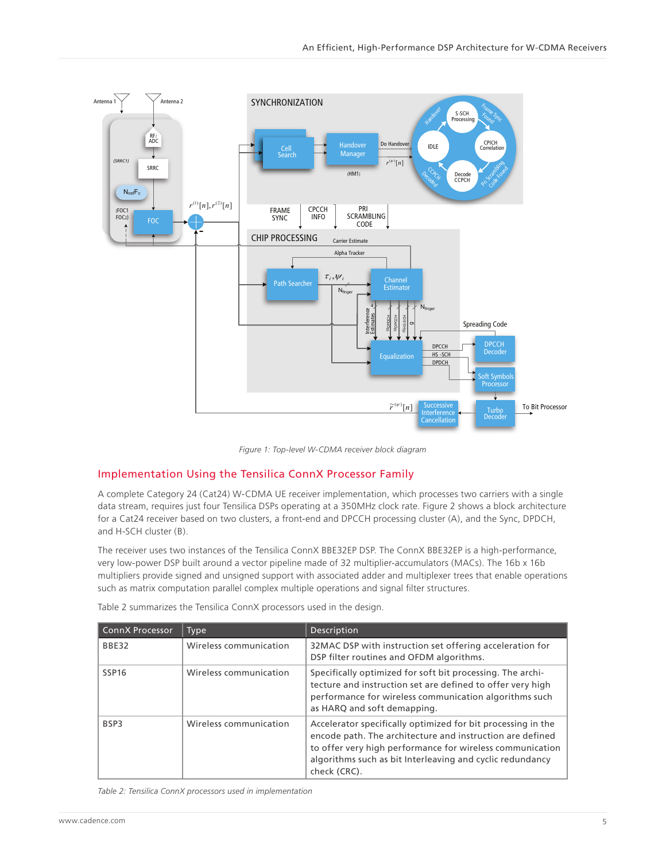<span id="page-4-0"></span>

*Figure 1: Top-level W-CDMA receiver block diagram*

### Implementation Using the Tensilica ConnX Processor Family

A complete Category 24 (Cat24) W-CDMA UE receiver implementation, which processes two carriers with a single data stream, requires just four Tensilica DSPs operating at a 350MHz clock rate. Figure 2 shows a block architecture for a Cat24 receiver based on two clusters, a front-end and DPCCH processing cluster (A), and the Sync, DPDCH, and H-SCH cluster (B).

The receiver uses two instances of the Tensilica ConnX BBE32EP DSP. The ConnX BBE32EP is a high-performance, very low-power DSP built around a vector pipeline made of 32 multiplier-accumulators (MACs). The 16b x 16b multipliers provide signed and unsigned support with associated adder and multiplexer trees that enable operations such as matrix computation parallel complex multiple operations and signal filter structures.

| <b>ConnX Processor</b> | Type                   | Description                                                                                                                                                                                                                                                         |  |
|------------------------|------------------------|---------------------------------------------------------------------------------------------------------------------------------------------------------------------------------------------------------------------------------------------------------------------|--|
| BBE32                  | Wireless communication | 32MAC DSP with instruction set offering acceleration for<br>DSP filter routines and OFDM algorithms.                                                                                                                                                                |  |
| SSP <sub>16</sub>      | Wireless communication | Specifically optimized for soft bit processing. The archi-<br>tecture and instruction set are defined to offer very high<br>performance for wireless communication algorithms such<br>as HARQ and soft demapping.                                                   |  |
| BSP3                   | Wireless communication | Accelerator specifically optimized for bit processing in the<br>encode path. The architecture and instruction are defined<br>to offer very high performance for wireless communication<br>algorithms such as bit Interleaving and cyclic redundancy<br>check (CRC). |  |

Table 2 summarizes the Tensilica ConnX processors used in the design.

*Table 2: Tensilica ConnX processors used in implementation*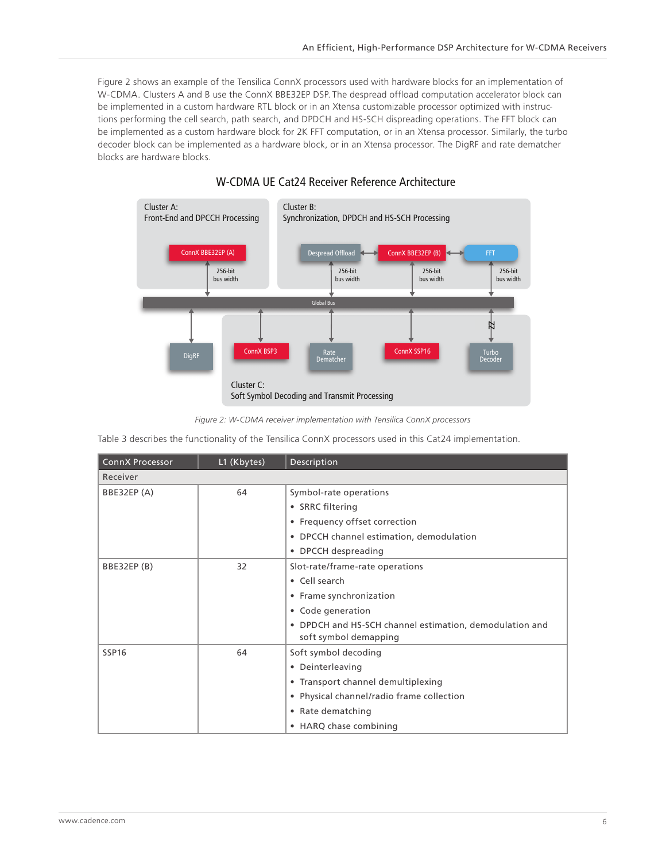Figure 2 shows an example of the Tensilica ConnX processors used with hardware blocks for an implementation of W-CDMA. Clusters A and B use the ConnX BBE32EP DSP. The despread offload computation accelerator block can be implemented in a custom hardware RTL block or in an Xtensa customizable processor optimized with instructions performing the cell search, path search, and DPDCH and HS-SCH dispreading operations. The FFT block can be implemented as a custom hardware block for 2K FFT computation, or in an Xtensa processor. Similarly, the turbo decoder block can be implemented as a hardware block, or in an Xtensa processor. The DigRF and rate dematcher blocks are hardware blocks.



## W-CDMA UE Cat24 Receiver Reference Architecture

Table 3 describes the functionality of the Tensilica ConnX processors used in this Cat24 implementation.

| <b>ConnX Processor</b> | L1 (Kbytes) | Description                                             |
|------------------------|-------------|---------------------------------------------------------|
| Receiver               |             |                                                         |
| BBE32EP (A)            | 64          | Symbol-rate operations                                  |
|                        |             | • SRRC filtering                                        |
|                        |             | • Frequency offset correction                           |
|                        |             | • DPCCH channel estimation, demodulation                |
|                        |             | • DPCCH despreading                                     |
| BBE32EP (B)            | 32          | Slot-rate/frame-rate operations                         |
|                        |             | • Cell search                                           |
|                        |             | • Frame synchronization                                 |
|                        |             | • Code generation                                       |
|                        |             | • DPDCH and HS-SCH channel estimation, demodulation and |
|                        |             | soft symbol demapping                                   |
| SSP <sub>16</sub>      | 64          | Soft symbol decoding                                    |
|                        |             | • Deinterleaving                                        |
|                        |             | • Transport channel demultiplexing                      |
|                        |             | • Physical channel/radio frame collection               |
|                        |             | • Rate dematching                                       |
|                        |             | • HARQ chase combining                                  |

*Figure 2: W-CDMA receiver implementation with Tensilica ConnX processors*